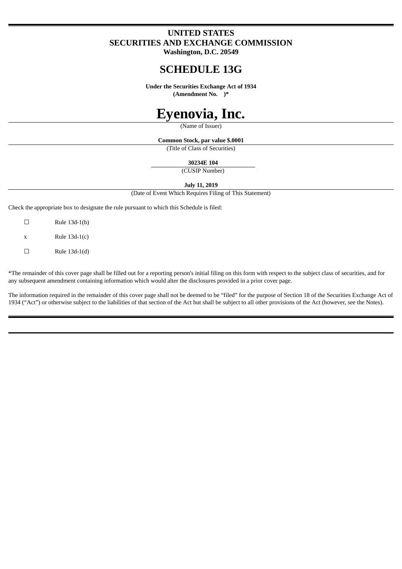## **UNITED STATES SECURITIES AND EXCHANGE COMMISSION**

**Washington, D.C. 20549**

# **SCHEDULE 13G**

**Under the Securities Exchange Act of 1934 (Amendment No. )\***

# **Eyenovia, Inc.**

(Name of Issuer)

**Common Stock, par value \$.0001**

(Title of Class of Securities)

**30234E 104**

(CUSIP Number)

**July 11, 2019**

(Date of Event Which Requires Filing of This Statement)

Check the appropriate box to designate the rule pursuant to which this Schedule is filed:

 $\Box$  Rule 13d-1(b)  $x$  Rule 13d-1(c)  $\Box$  Rule 13d-1(d)

\*The remainder of this cover page shall be filled out for a reporting person's initial filing on this form with respect to the subject class of securities, and for any subsequent amendment containing information which would alter the disclosures provided in a prior cover page.

The information required in the remainder of this cover page shall not be deemed to be "filed" for the purpose of Section 18 of the Securities Exchange Act of 1934 ("Act") or otherwise subject to the liabilities of that section of the Act but shall be subject to all other provisions of the Act (however, see the Notes).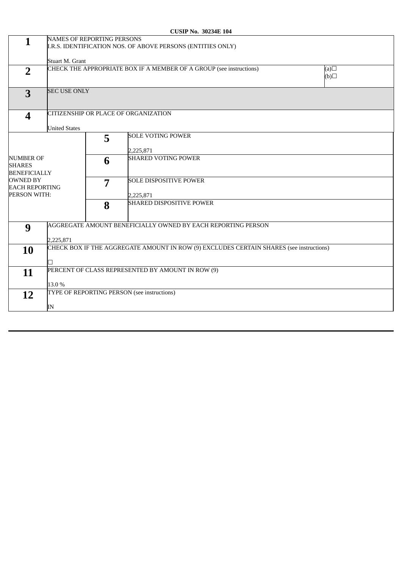|                                                                                                                      |                                                                                                  |   | COOIL 110. 502571 107                       |  |  |  |  |
|----------------------------------------------------------------------------------------------------------------------|--------------------------------------------------------------------------------------------------|---|---------------------------------------------|--|--|--|--|
| $\mathbf{1}$                                                                                                         | <b>NAMES OF REPORTING PERSONS</b><br>I.R.S. IDENTIFICATION NOS. OF ABOVE PERSONS (ENTITIES ONLY) |   |                                             |  |  |  |  |
|                                                                                                                      | Stuart M. Grant                                                                                  |   |                                             |  |  |  |  |
| $\overline{2}$                                                                                                       | CHECK THE APPROPRIATE BOX IF A MEMBER OF A GROUP (see instructions)<br>(a)<br>$\Box$ (d)         |   |                                             |  |  |  |  |
| 3                                                                                                                    | <b>SEC USE ONLY</b>                                                                              |   |                                             |  |  |  |  |
| $\overline{\mathbf{4}}$                                                                                              | CITIZENSHIP OR PLACE OF ORGANIZATION<br><b>United States</b>                                     |   |                                             |  |  |  |  |
| <b>NUMBER OF</b><br><b>SHARES</b><br><b>BENEFICIALLY</b><br><b>OWNED BY</b><br><b>EACH REPORTING</b><br>PERSON WITH: |                                                                                                  | 5 | <b>SOLE VOTING POWER</b><br>2,225,871       |  |  |  |  |
|                                                                                                                      |                                                                                                  | 6 | <b>SHARED VOTING POWER</b>                  |  |  |  |  |
|                                                                                                                      |                                                                                                  | 7 | <b>SOLE DISPOSITIVE POWER</b><br>2,225,871  |  |  |  |  |
|                                                                                                                      |                                                                                                  | 8 | <b>SHARED DISPOSITIVE POWER</b>             |  |  |  |  |
| 9                                                                                                                    | AGGREGATE AMOUNT BENEFICIALLY OWNED BY EACH REPORTING PERSON<br>2,225,871                        |   |                                             |  |  |  |  |
| <b>10</b>                                                                                                            | CHECK BOX IF THE AGGREGATE AMOUNT IN ROW (9) EXCLUDES CERTAIN SHARES (see instructions)          |   |                                             |  |  |  |  |
| 11                                                                                                                   | PERCENT OF CLASS REPRESENTED BY AMOUNT IN ROW (9)<br>13.0%                                       |   |                                             |  |  |  |  |
| 12                                                                                                                   | IN                                                                                               |   | TYPE OF REPORTING PERSON (see instructions) |  |  |  |  |
|                                                                                                                      |                                                                                                  |   |                                             |  |  |  |  |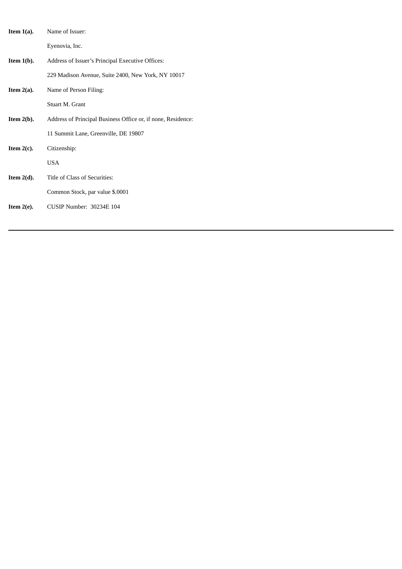| Item $1(a)$ . | Name of Issuer:                                              |  |  |
|---------------|--------------------------------------------------------------|--|--|
|               | Eyenovia, Inc.                                               |  |  |
| Item $1(b)$ . | Address of Issuer's Principal Executive Offices:             |  |  |
|               | 229 Madison Avenue, Suite 2400, New York, NY 10017           |  |  |
| Item $2(a)$ . | Name of Person Filing:                                       |  |  |
|               | Stuart M. Grant                                              |  |  |
| Item $2(b)$ . | Address of Principal Business Office or, if none, Residence: |  |  |
|               | 11 Summit Lane, Greenville, DE 19807                         |  |  |
| Item $2(c)$ . | Citizenship:                                                 |  |  |
|               | <b>USA</b>                                                   |  |  |
| Item $2(d)$ . | Title of Class of Securities:                                |  |  |
|               | Common Stock, par value \$.0001                              |  |  |
| Item $2(e)$ . | <b>CUSIP Number: 30234E 104</b>                              |  |  |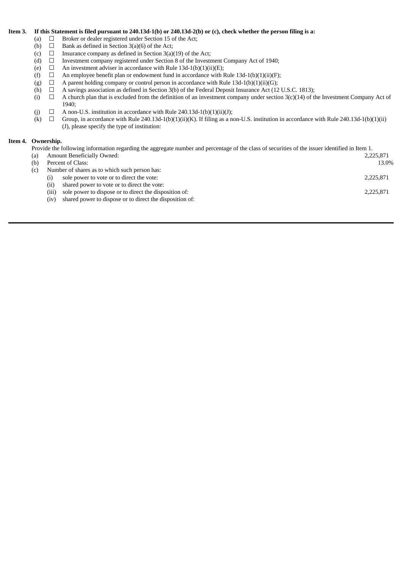#### Item 3. If this Statement is filed pursuant to 240.13d-1(b) or 240.13d-2(b) or (c), check whether the person filing is a:

- (a)  $\Box$  Broker or dealer registered under Section 15 of the Act;
- (b)  $\Box$  Bank as defined in Section 3(a)(6) of the Act;
- (c)  $\Box$  Insurance company as defined in Section 3(a)(19) of the Act;
- (d)  $\Box$  Investment company registered under Section 8 of the Investment Company Act of 1940;
- (e)  $\Box$  An investment adviser in accordance with Rule 13d-1(b)(1)(ii)(E);
- (f)  $\Box$  An employee benefit plan or endowment fund in accordance with Rule 13d-1(b)(1)(ii)(F);
- (g)  $\Box$  A parent holding company or control person in accordance with Rule 13d-1(b)(1)(ii)(G);
- (h)  $\Box$  A savings association as defined in Section 3(b) of the Federal Deposit Insurance Act (12 U.S.C. 1813);
- (i)  $□$  A church plan that is excluded from the definition of an investment company under section  $3(c)(14)$  of the Investment Company Act of 1940;
- (j)  $\Box$  A non-U.S. institution in accordance with Rule 240.13d-1(b)(1)(ii)(J);
- (k)  $\Box$  Group, in accordance with Rule 240.13d-1(b)(1)(ii)(K). If filing as a non-U.S. institution in accordance with Rule 240.13d-1(b)(1)(ii) (J), please specify the type of institution:

#### **Item 4. Ownership.**

Provide the following information regarding the aggregate number and percentage of the class of securities of the issuer identified in Item 1.

| (a) | <b>Amount Beneficially Owned:</b>                                 | 2,225,871 |  |  |  |  |
|-----|-------------------------------------------------------------------|-----------|--|--|--|--|
| (b) | Percent of Class:                                                 | 13.0%     |  |  |  |  |
| (c) | Number of shares as to which such person has:                     |           |  |  |  |  |
|     | sole power to vote or to direct the vote:<br>$\left($ i $\right)$ | 2,225,871 |  |  |  |  |
|     | shared power to vote or to direct the vote:<br>(ii)               |           |  |  |  |  |
|     | sole power to dispose or to direct the disposition of:<br>(iii)   | 2,225,871 |  |  |  |  |
|     | shared power to dispose or to direct the disposition of:<br>(iv)  |           |  |  |  |  |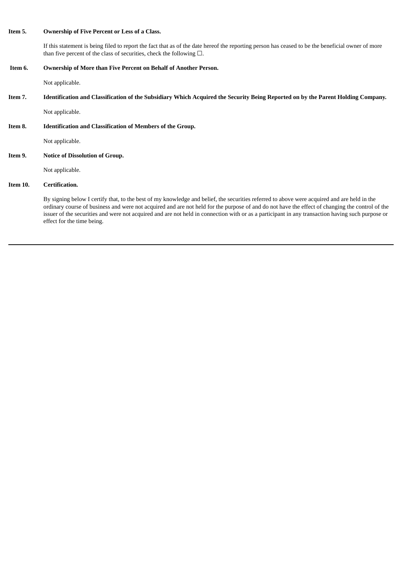#### **Item 5. Ownership of Five Percent or Less of a Class.**

If this statement is being filed to report the fact that as of the date hereof the reporting person has ceased to be the beneficial owner of more than five percent of the class of securities, check the following  $\Box$ .

#### **Item 6. Ownership of More than Five Percent on Behalf of Another Person.**

Not applicable.

Item 7. Identification and Classification of the Subsidiary Which Acquired the Security Being Reported on by the Parent Holding Company.

Not applicable.

**Item 8. Identification and Classification of Members of the Group.**

Not applicable.

**Item 9. Notice of Dissolution of Group.**

Not applicable.

### **Item 10. Certification.**

By signing below I certify that, to the best of my knowledge and belief, the securities referred to above were acquired and are held in the ordinary course of business and were not acquired and are not held for the purpose of and do not have the effect of changing the control of the issuer of the securities and were not acquired and are not held in connection with or as a participant in any transaction having such purpose or effect for the time being.